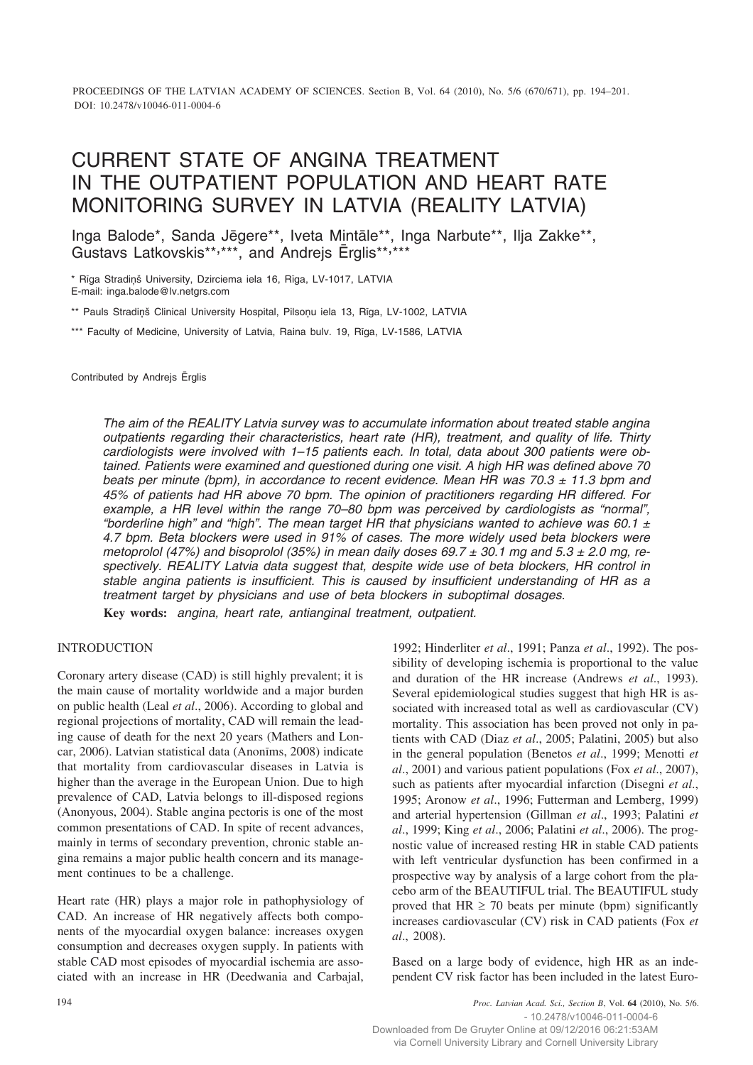# CURRENT STATE OF ANGINA TREATMENT IN THE OUTPATIENT POPULATION AND HEART RATE MONITORING SURVEY IN LATVIA (REALITY LATVIA)

Inga Balode\*, Sanda Jēgere\*\*, Iveta Mintāle\*\*, Inga Narbute\*\*, Ilja Zakke\*\*, Gustavs Latkovskis\*\*,\*\*\*, and Andrejs Erglis\*\*,\*\*\*

\* Rīga Stradiņš University, Dzirciema iela 16, Rīga, LV-1017, LATVIA E-mail: inga.balode@lv.netgrs.com

\*\* Pauls Stradiņš Clinical University Hospital, Pilsoņu iela 13, Rīga, LV-1002, LATVIA

\*\*\* Faculty of Medicine, University of Latvia, Raina bulv. 19, Rīga, LV-1586, LATVIA

Contributed by Andrejs Erglis

*The aim of the REALITY Latvia survey was to accumulate information about treated stable angina outpatients regarding their characteristics, heart rate (HR), treatment, and quality of life. Thirty cardiologists were involved with 1–15 patients each. In total, data about 300 patients were obtained. Patients were examined and questioned during one visit. A high HR was defined above 70 beats per minute (bpm), in accordance to recent evidence. Mean HR was 70.3 ± 11.3 bpm and 45% of patients had HR above 70 bpm. The opinion of practitioners regarding HR differed. For example, a HR level within the range 70–80 bpm was perceived by cardiologists as "normal", "borderline high" and "high". The mean target HR that physicians wanted to achieve was 60.1 ± 4.7 bpm. Beta blockers were used in 91% of cases. The more widely used beta blockers were metoprolol (47%) and bisoprolol (35%) in mean daily doses 69.7 ± 30.1 mg and 5.3 ± 2.0 mg, respectively. REALITY Latvia data suggest that, despite wide use of beta blockers, HR control in stable angina patients is insufficient. This is caused by insufficient understanding of HR as a treatment target by physicians and use of beta blockers in suboptimal dosages.*

**Key words:** *angina, heart rate, antianginal treatment, outpatient.*

# INTRODUCTION

Coronary artery disease (CAD) is still highly prevalent; it is the main cause of mortality worldwide and a major burden on public health (Leal *et al*., 2006). According to global and regional projections of mortality, CAD will remain the leading cause of death for the next 20 years (Mathers and Loncar, 2006). Latvian statistical data (Anonîms, 2008) indicate that mortality from cardiovascular diseases in Latvia is higher than the average in the European Union. Due to high prevalence of CAD, Latvia belongs to ill-disposed regions (Anonyous, 2004). Stable angina pectoris is one of the most common presentations of CAD. In spite of recent advances, mainly in terms of secondary prevention, chronic stable angina remains a major public health concern and its management continues to be a challenge.

Heart rate (HR) plays a major role in pathophysiology of CAD. An increase of HR negatively affects both components of the myocardial oxygen balance: increases oxygen consumption and decreases oxygen supply. In patients with stable CAD most episodes of myocardial ischemia are associated with an increase in HR (Deedwania and Carbajal,

1992; Hinderliter *et al*., 1991; Panza *et al*., 1992). The possibility of developing ischemia is proportional to the value and duration of the HR increase (Andrews *et al*., 1993). Several epidemiological studies suggest that high HR is associated with increased total as well as cardiovascular (CV) mortality. This association has been proved not only in patients with CAD (Diaz *et al*., 2005; Palatini, 2005) but also in the general population (Benetos *et al*., 1999; Menotti *et al*., 2001) and various patient populations (Fox *et al*., 2007), such as patients after myocardial infarction (Disegni *et al*., 1995; Aronow *et al*., 1996; Futterman and Lemberg, 1999) and arterial hypertension (Gillman *et al*., 1993; Palatini *et al*., 1999; King *et al*., 2006; Palatini *et al*., 2006). The prognostic value of increased resting HR in stable CAD patients with left ventricular dysfunction has been confirmed in a prospective way by analysis of a large cohort from the placebo arm of the BEAUTIFUL trial. The BEAUTIFUL study proved that  $HR \ge 70$  beats per minute (bpm) significantly increases cardiovascular (CV) risk in CAD patients (Fox *et al*., 2008).

Based on a large body of evidence, high HR as an independent CV risk factor has been included in the latest Euro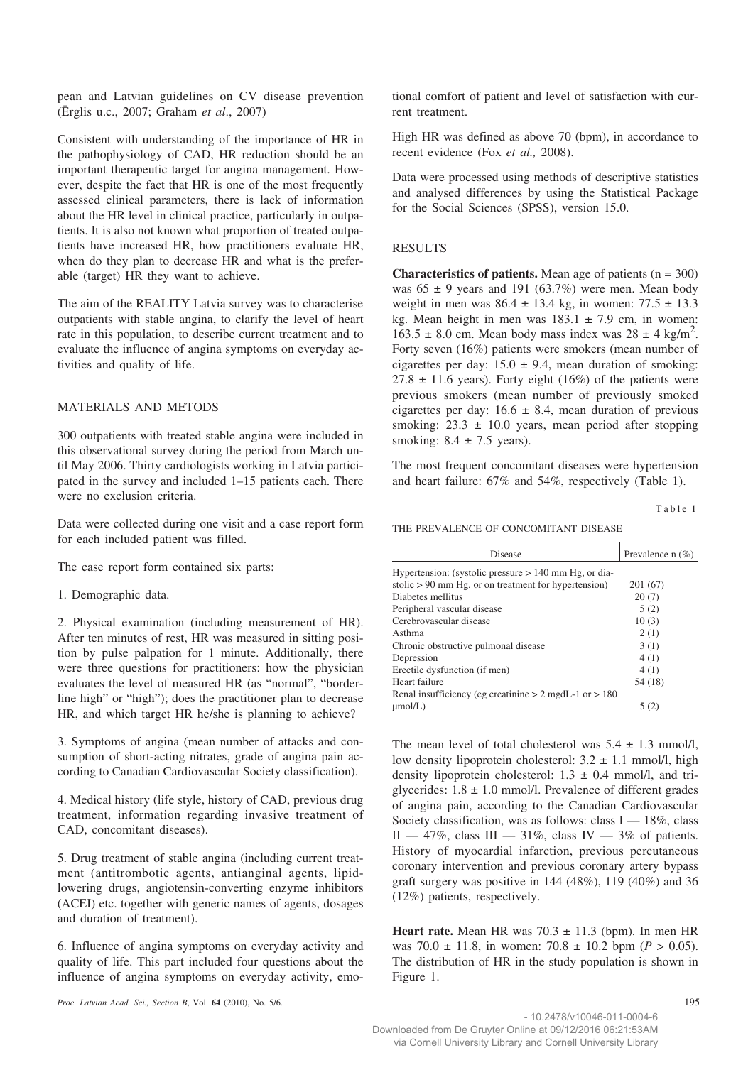pean and Latvian guidelines on CV disease prevention (Çrglis u.c., 2007; Graham *et al*., 2007)

Consistent with understanding of the importance of HR in the pathophysiology of CAD, HR reduction should be an important therapeutic target for angina management. However, despite the fact that HR is one of the most frequently assessed clinical parameters, there is lack of information about the HR level in clinical practice, particularly in outpatients. It is also not known what proportion of treated outpatients have increased HR, how practitioners evaluate HR, when do they plan to decrease HR and what is the preferable (target) HR they want to achieve.

The aim of the REALITY Latvia survey was to characterise outpatients with stable angina, to clarify the level of heart rate in this population, to describe current treatment and to evaluate the influence of angina symptoms on everyday activities and quality of life.

## MATERIALS AND METODS

300 outpatients with treated stable angina were included in this observational survey during the period from March until May 2006. Thirty cardiologists working in Latvia participated in the survey and included 1–15 patients each. There were no exclusion criteria.

Data were collected during one visit and a case report form for each included patient was filled.

The case report form contained six parts:

1. Demographic data.

2. Physical examination (including measurement of HR). After ten minutes of rest, HR was measured in sitting position by pulse palpation for 1 minute. Additionally, there were three questions for practitioners: how the physician evaluates the level of measured HR (as "normal", "borderline high" or "high"); does the practitioner plan to decrease HR, and which target HR he/she is planning to achieve?

3. Symptoms of angina (mean number of attacks and consumption of short-acting nitrates, grade of angina pain according to Canadian Cardiovascular Society classification).

4. Medical history (life style, history of CAD, previous drug treatment, information regarding invasive treatment of CAD, concomitant diseases).

5. Drug treatment of stable angina (including current treatment (antitrombotic agents, antianginal agents, lipidlowering drugs, angiotensin-converting enzyme inhibitors (ACEI) etc. together with generic names of agents, dosages and duration of treatment).

6. Influence of angina symptoms on everyday activity and quality of life. This part included four questions about the influence of angina symptoms on everyday activity, emo-

*Proc. Latvian Acad. Sci., Section B*, Vol. **64** (2010), No. 5/6. 195

tional comfort of patient and level of satisfaction with current treatment.

High HR was defined as above 70 (bpm), in accordance to recent evidence (Fox *et al.,* 2008).

Data were processed using methods of descriptive statistics and analysed differences by using the Statistical Package for the Social Sciences (SPSS), version 15.0.

## RESULTS

**Characteristics of patients.** Mean age of patients  $(n = 300)$ was  $65 \pm 9$  years and 191 (63.7%) were men. Mean body weight in men was  $86.4 \pm 13.4$  kg, in women:  $77.5 \pm 13.3$ kg. Mean height in men was  $183.1 \pm 7.9$  cm, in women:  $163.5 \pm 8.0$  cm. Mean body mass index was  $28 \pm 4$  kg/m<sup>2</sup>. Forty seven (16%) patients were smokers (mean number of cigarettes per day:  $15.0 \pm 9.4$ , mean duration of smoking:  $27.8 \pm 11.6$  years). Forty eight (16%) of the patients were previous smokers (mean number of previously smoked cigarettes per day:  $16.6 \pm 8.4$ , mean duration of previous smoking:  $23.3 \pm 10.0$  years, mean period after stopping smoking:  $8.4 \pm 7.5$  years).

The most frequent concomitant diseases were hypertension and heart failure: 67% and 54%, respectively (Table 1).

Table 1

THE PREVALENCE OF CONCOMITANT DISEASE

| Disease                                                    | Prevalence n $(\% )$ |
|------------------------------------------------------------|----------------------|
| Hypertension: (systolic pressure $> 140$ mm Hg, or dia-    |                      |
| stolic $> 90$ mm Hg, or on treatment for hypertension)     | 201(67)              |
| Diabetes mellitus                                          | 20(7)                |
| Peripheral vascular disease                                | 5(2)                 |
| Cerebrovascular disease                                    | 10(3)                |
| Asthma                                                     | 2(1)                 |
| Chronic obstructive pulmonal disease                       | 3(1)                 |
| Depression                                                 | 4(1)                 |
| Erectile dysfunction (if men)                              | 4(1)                 |
| Heart failure                                              | 54 (18)              |
| Renal insufficiency (eg creatinine $> 2$ mgdL-1 or $> 180$ |                      |
| $\mu$ mol/L)                                               | 5 (2)                |

The mean level of total cholesterol was  $5.4 \pm 1.3$  mmol/l, low density lipoprotein cholesterol:  $3.2 \pm 1.1$  mmol/l, high density lipoprotein cholesterol:  $1.3 \pm 0.4$  mmol/l, and triglycerides:  $1.8 \pm 1.0$  mmol/l. Prevalence of different grades of angina pain, according to the Canadian Cardiovascular Society classification, was as follows: class  $I - 18\%$ , class II — 47%, class III — 31%, class IV — 3% of patients. History of myocardial infarction, previous percutaneous coronary intervention and previous coronary artery bypass graft surgery was positive in 144 (48%), 119 (40%) and 36 (12%) patients, respectively.

**Heart rate.** Mean HR was  $70.3 \pm 11.3$  (bpm). In men HR was  $70.0 \pm 11.8$ , in women:  $70.8 \pm 10.2$  bpm ( $P > 0.05$ ). The distribution of HR in the study population is shown in Figure 1.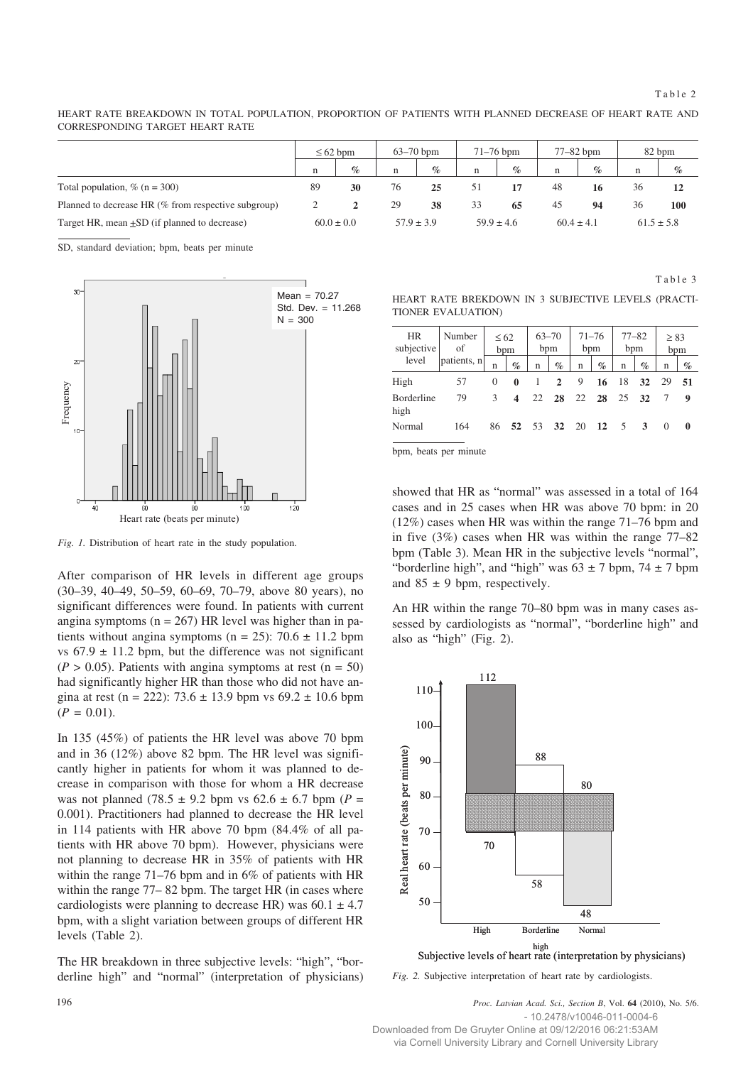HEART RATE BREAKDOWN IN TOTAL POPULATION, PROPORTION OF PATIENTS WITH PLANNED DECREASE OF HEART RATE AND CORRESPONDING TARGET HEART RATE

|                                                     | $\leq 62$ bpm |                  | $63-70$ bpm |                | $71 - 76$ bpm |                | $77-82$ bpm    |      | 82 bpm      |                |
|-----------------------------------------------------|---------------|------------------|-------------|----------------|---------------|----------------|----------------|------|-------------|----------------|
|                                                     | n             | $\mathcal{O}'_0$ | $\mathbf n$ | $\%$           | n             | $\%$           | $\mathbf n$    | $\%$ | $\mathbf n$ | $\%$           |
| Total population, $\%$ (n = 300)                    | 89            | 30               | 76          | 25             | 51            | 17             | 48             | 16   | 36          | 12             |
| Planned to decrease HR (% from respective subgroup) |               |                  | 29          | 38             | 33            | 65             | 45             | 94   | 36          | <b>100</b>     |
| Target HR, mean $\pm SD$ (if planned to decrease)   |               | $60.0 \pm 0.0$   |             | $57.9 \pm 3.9$ |               | $59.9 \pm 4.6$ | $60.4 \pm 4.1$ |      |             | $61.5 \pm 5.8$ |

SD, standard deviation; bpm, beats per minute



*Fig. 1.* Distribution of heart rate in the study population.

After comparison of HR levels in different age groups (30–39, 40–49, 50–59, 60–69, 70–79, above 80 years), no significant differences were found. In patients with current angina symptoms ( $n = 267$ ) HR level was higher than in patients without angina symptoms ( $n = 25$ ): 70.6  $\pm$  11.2 bpm vs  $67.9 \pm 11.2$  bpm, but the difference was not significant  $(P > 0.05)$ . Patients with angina symptoms at rest  $(n = 50)$ had significantly higher HR than those who did not have angina at rest (n = 222): 73.6  $\pm$  13.9 bpm vs 69.2  $\pm$  10.6 bpm  $(P = 0.01)$ .

In 135 (45%) of patients the HR level was above 70 bpm and in 36 (12%) above 82 bpm. The HR level was significantly higher in patients for whom it was planned to decrease in comparison with those for whom a HR decrease was not planned (78.5  $\pm$  9.2 bpm vs 62.6  $\pm$  6.7 bpm (*P* = 0.001). Practitioners had planned to decrease the HR level in 114 patients with HR above 70 bpm (84.4% of all patients with HR above 70 bpm). However, physicians were not planning to decrease HR in 35% of patients with HR within the range 71–76 bpm and in 6% of patients with HR within the range 77– 82 bpm. The target HR (in cases where cardiologists were planning to decrease HR) was  $60.1 \pm 4.7$ bpm, with a slight variation between groups of different HR levels (Table 2).

The HR breakdown in three subjective levels: "high", "borderline high" and "normal" (interpretation of physicians) Table 3

|  |                    |  | HEART RATE BREKDOWN IN 3 SUBJECTIVE LEVELS (PRACTI- |  |
|--|--------------------|--|-----------------------------------------------------|--|
|  | TIONER EVALUATION) |  |                                                     |  |

| <b>HR</b><br>subjective | Number<br>of | $\leq 62$      | bpm                     |             | $63 - 70$<br>bpm  |             | $71 - 76$<br>bpm |             | $77 - 82$<br>bpm | $\geq 83$ | bpm      |
|-------------------------|--------------|----------------|-------------------------|-------------|-------------------|-------------|------------------|-------------|------------------|-----------|----------|
| level                   | patients, n  | n              | $\%$                    | $\mathbf n$ | $\%$              | $\mathbf n$ | $\%$             | $\mathbf n$ | $\%$             | n         | $\%$     |
| High                    | 57           | $\overline{0}$ | 0                       |             | $\mathbf{2}$      | 9           | 16               | 18          | 32               | 29        | 51       |
| Borderline<br>high      | 79           | 3              | $\overline{\mathbf{4}}$ |             | 22 28 22 28 25 32 |             |                  |             |                  |           | 9        |
| Normal                  | 164          |                |                         |             | 86 52 53 32 20 12 |             |                  | $\sqrt{5}$  | -3               | $\Omega$  | $\bf{0}$ |
| $\sim$                  |              |                |                         |             |                   |             |                  |             |                  |           |          |

bpm, beats per minute

showed that HR as "normal" was assessed in a total of 164 cases and in 25 cases when HR was above 70 bpm: in 20 (12%) cases when HR was within the range 71–76 bpm and in five (3%) cases when HR was within the range 77–82 bpm (Table 3). Mean HR in the subjective levels "normal", "borderline high", and "high" was  $63 \pm 7$  bpm,  $74 \pm 7$  bpm and  $85 \pm 9$  bpm, respectively.

An HR within the range 70–80 bpm was in many cases assessed by cardiologists as "normal", "borderline high" and also as "high" (Fig. 2).



Subjective levels of heart rate (interpretation by physicians)

*Fig. 2.* Subjective interpretation of heart rate by cardiologists.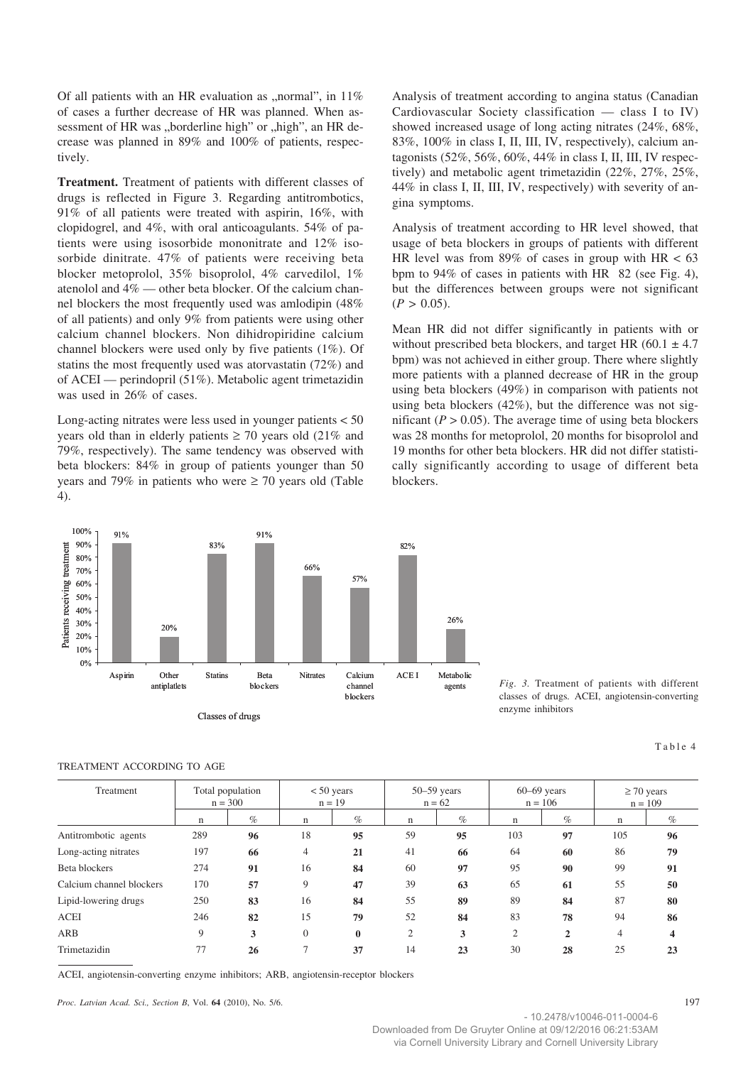Of all patients with an HR evaluation as "normal", in  $11\%$ of cases a further decrease of HR was planned. When assessment of HR was "borderline high" or "high", an HR decrease was planned in 89% and 100% of patients, respectively.

**Treatment.** Treatment of patients with different classes of drugs is reflected in Figure 3. Regarding antitrombotics, 91% of all patients were treated with aspirin, 16%, with clopidogrel, and 4%, with oral anticoagulants. 54% of patients were using isosorbide mononitrate and 12% isosorbide dinitrate. 47% of patients were receiving beta blocker metoprolol, 35% bisoprolol, 4% carvedilol, 1% atenolol and 4% — other beta blocker. Of the calcium channel blockers the most frequently used was amlodipin (48% of all patients) and only 9% from patients were using other calcium channel blockers. Non dihidropiridine calcium channel blockers were used only by five patients (1%). Of statins the most frequently used was atorvastatin (72%) and of ACEI — perindopril (51%). Metabolic agent trimetazidin was used in 26% of cases.

Long-acting nitrates were less used in younger patients < 50 years old than in elderly patients  $\geq$  70 years old (21% and 79%, respectively). The same tendency was observed with beta blockers: 84% in group of patients younger than 50 years and 79% in patients who were  $\geq$  70 years old (Table 4).



*Fig. 3.* Treatment of patients with different classes of drugs*.* ACEI, angiotensin-converting enzyme inhibitors

Table 4

#### TREATMENT ACCORDING TO AGE

| Treatment                | $n = 300$   | Total population | $< 50$ years<br>$n = 19$ |          | $50 - 59$ years<br>$n = 62$ |      | $60-69$ years<br>$n = 106$ |              | $\geq 70$ years<br>$n = 109$ |      |
|--------------------------|-------------|------------------|--------------------------|----------|-----------------------------|------|----------------------------|--------------|------------------------------|------|
|                          | $\mathbf n$ | $\%$             | n                        | $\%$     | n                           | $\%$ | n                          | $\%$         | n                            | $\%$ |
| Antitrombotic agents     | 289         | 96               | 18                       | 95       | 59                          | 95   | 103                        | 97           | 105                          | 96   |
| Long-acting nitrates     | 197         | 66               | 4                        | 21       | 41                          | 66   | 64                         | 60           | 86                           | 79   |
| <b>Beta blockers</b>     | 274         | 91               | 16                       | 84       | 60                          | 97   | 95                         | 90           | 99                           | 91   |
| Calcium channel blockers | 170         | 57               | 9                        | 47       | 39                          | 63   | 65                         | 61           | 55                           | 50   |
| Lipid-lowering drugs     | 250         | 83               | 16                       | 84       | 55                          | 89   | 89                         | 84           | 87                           | 80   |
| <b>ACEI</b>              | 246         | 82               | 15                       | 79       | 52                          | 84   | 83                         | 78           | 94                           | 86   |
| ARB                      | 9           | 3                | $\Omega$                 | $\bf{0}$ | $\overline{c}$              | 3    | 2                          | $\mathbf{2}$ | 4                            | 4    |
| Trimetazidin             | 77          | 26               |                          | 37       | 14                          | 23   | 30                         | 28           | 25                           | 23   |

ACEI, angiotensin-converting enzyme inhibitors; ARB, angiotensin-receptor blockers

*Proc. Latvian Acad. Sci., Section B, Vol.* 64 (2010), No. 5/6. 197

Analysis of treatment according to angina status (Canadian Cardiovascular Society classification — class I to IV) showed increased usage of long acting nitrates (24%, 68%, 83%, 100% in class I, II, III, IV, respectively), calcium antagonists (52%, 56%, 60%, 44% in class I, II, III, IV respectively) and metabolic agent trimetazidin (22%, 27%, 25%, 44% in class I, II, III, IV, respectively) with severity of angina symptoms.

Analysis of treatment according to HR level showed, that usage of beta blockers in groups of patients with different HR level was from 89% of cases in group with  $HR < 63$ bpm to 94% of cases in patients with HR 82 (see Fig. 4), but the differences between groups were not significant  $(P > 0.05)$ .

Mean HR did not differ significantly in patients with or without prescribed beta blockers, and target HR  $(60.1 \pm 4.7)$ bpm) was not achieved in either group. There where slightly more patients with a planned decrease of HR in the group using beta blockers (49%) in comparison with patients not using beta blockers (42%), but the difference was not significant ( $P > 0.05$ ). The average time of using beta blockers was 28 months for metoprolol, 20 months for bisoprolol and 19 months for other beta blockers. HR did not differ statistically significantly according to usage of different beta blockers.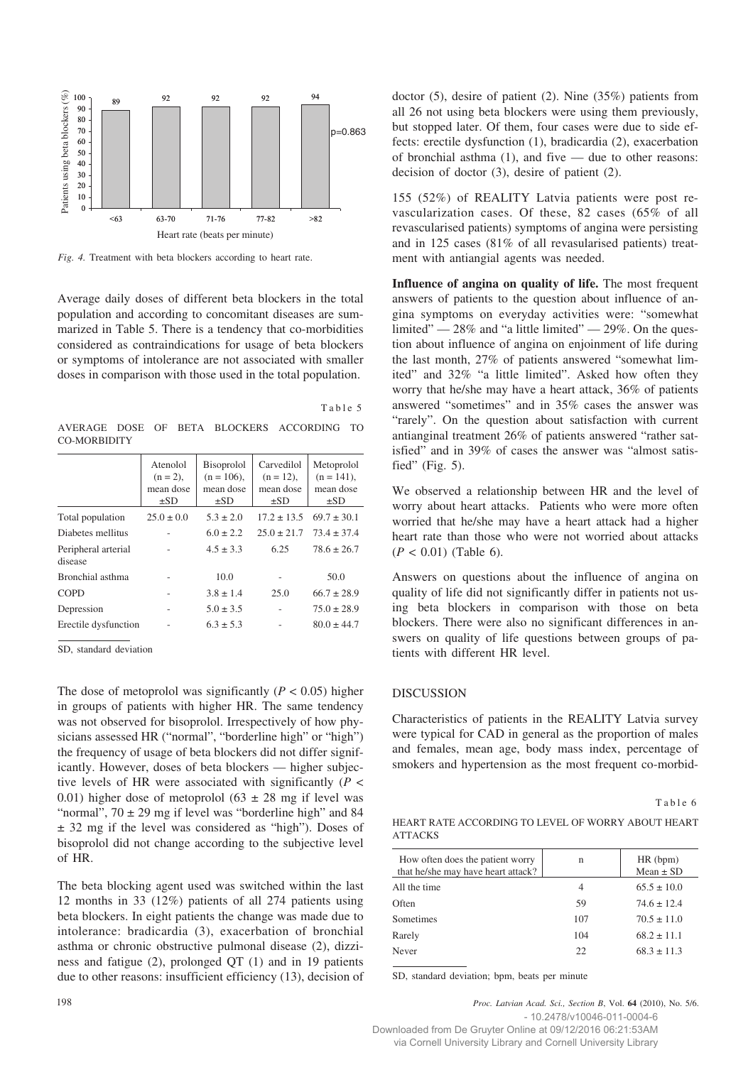

*Fig. 4.* Treatment with beta blockers according to heart rate.

Average daily doses of different beta blockers in the total population and according to concomitant diseases are summarized in Table 5. There is a tendency that co-morbidities considered as contraindications for usage of beta blockers or symptoms of intolerance are not associated with smaller doses in comparison with those used in the total population.

AVERAGE DOSE OF BETA BLOCKERS ACCORDING TO CO-MORBIDITY

Table 5

| Atenolol<br>Carvedilol<br><b>Bisoprolol</b><br>$(n = 106)$ ,<br>$(n = 2)$ ,<br>$(n = 12)$ ,<br>mean dose<br>mean dose<br>mean dose<br>$\pm$ SD<br>$\pm SD$<br>$\pm$ SD<br>$\pm$ SD<br>$25.0 \pm 0.0$<br>$5.3 \pm 2.0$<br>$17.2 \pm 13.5$<br>Total population<br>$25.0 \pm 21.7$<br>Diabetes mellitus<br>$6.0 \pm 2.2$<br>Peripheral arterial<br>$4.5 \pm 3.3$<br>6.25<br>disease<br>Bronchial asthma<br>10.0<br>50.0<br>$3.8 \pm 1.4$<br>25.0<br><b>COPD</b><br>$5.0 \pm 3.5$<br>Depression<br>$\overline{a}$<br>٠ |  |  |                                          |
|--------------------------------------------------------------------------------------------------------------------------------------------------------------------------------------------------------------------------------------------------------------------------------------------------------------------------------------------------------------------------------------------------------------------------------------------------------------------------------------------------------------------|--|--|------------------------------------------|
|                                                                                                                                                                                                                                                                                                                                                                                                                                                                                                                    |  |  | Metoprolol<br>$(n = 141)$ ,<br>mean dose |
|                                                                                                                                                                                                                                                                                                                                                                                                                                                                                                                    |  |  | $69.7 \pm 30.1$                          |
|                                                                                                                                                                                                                                                                                                                                                                                                                                                                                                                    |  |  | $73.4 \pm 37.4$                          |
|                                                                                                                                                                                                                                                                                                                                                                                                                                                                                                                    |  |  | $78.6 \pm 26.7$                          |
|                                                                                                                                                                                                                                                                                                                                                                                                                                                                                                                    |  |  |                                          |
|                                                                                                                                                                                                                                                                                                                                                                                                                                                                                                                    |  |  | $66.7 \pm 28.9$                          |
|                                                                                                                                                                                                                                                                                                                                                                                                                                                                                                                    |  |  | $75.0 \pm 28.9$                          |
| Erectile dysfunction<br>$6.3 \pm 5.3$                                                                                                                                                                                                                                                                                                                                                                                                                                                                              |  |  | $80.0 \pm 44.7$                          |

SD, standard deviation

The dose of metoprolol was significantly  $(P < 0.05)$  higher in groups of patients with higher HR. The same tendency was not observed for bisoprolol. Irrespectively of how physicians assessed HR ("normal", "borderline high" or "high") the frequency of usage of beta blockers did not differ significantly. However, doses of beta blockers — higher subjective levels of HR were associated with significantly  $(P \leq$ 0.01) higher dose of metoprolol (63  $\pm$  28 mg if level was "normal",  $70 \pm 29$  mg if level was "borderline high" and 84 ± 32 mg if the level was considered as "high"). Doses of bisoprolol did not change according to the subjective level of HR.

The beta blocking agent used was switched within the last 12 months in 33 (12%) patients of all 274 patients using beta blockers. In eight patients the change was made due to intolerance: bradicardia (3), exacerbation of bronchial asthma or chronic obstructive pulmonal disease (2), dizziness and fatigue (2), prolonged QT (1) and in 19 patients due to other reasons: insufficient efficiency (13), decision of doctor (5), desire of patient (2). Nine (35%) patients from all 26 not using beta blockers were using them previously, but stopped later. Of them, four cases were due to side effects: erectile dysfunction (1), bradicardia (2), exacerbation of bronchial asthma (1), and five — due to other reasons: decision of doctor (3), desire of patient (2).

155 (52%) of REALITY Latvia patients were post revascularization cases. Of these, 82 cases (65% of all revascularised patients) symptoms of angina were persisting and in 125 cases (81% of all revasularised patients) treatment with antiangial agents was needed.

**Influence of angina on quality of life.** The most frequent answers of patients to the question about influence of angina symptoms on everyday activities were: "somewhat limited" —  $28\%$  and "a little limited" —  $29\%$ . On the question about influence of angina on enjoinment of life during the last month, 27% of patients answered "somewhat limited" and 32% "a little limited". Asked how often they worry that he/she may have a heart attack, 36% of patients answered "sometimes" and in 35% cases the answer was "rarely". On the question about satisfaction with current antianginal treatment 26% of patients answered "rather satisfied" and in 39% of cases the answer was "almost satisfied" (Fig. 5).

We observed a relationship between HR and the level of worry about heart attacks. Patients who were more often worried that he/she may have a heart attack had a higher heart rate than those who were not worried about attacks  $(P < 0.01)$  (Table 6).

Answers on questions about the influence of angina on quality of life did not significantly differ in patients not using beta blockers in comparison with those on beta blockers. There were also no significant differences in answers on quality of life questions between groups of patients with different HR level.

## DISCUSSION

Characteristics of patients in the REALITY Latvia survey were typical for CAD in general as the proportion of males and females, mean age, body mass index, percentage of smokers and hypertension as the most frequent co-morbid-

Table 6

| HEART RATE ACCORDING TO LEVEL OF WORRY ABOUT HEART |  |  |
|----------------------------------------------------|--|--|
| ATTACKS                                            |  |  |

| How often does the patient worry<br>that he/she may have heart attack? | n   | HR(bpm)<br>$Mean \pm SD$ |
|------------------------------------------------------------------------|-----|--------------------------|
| All the time                                                           | 4   | $65.5 \pm 10.0$          |
| Often                                                                  | 59  | $74.6 \pm 12.4$          |
| <b>Sometimes</b>                                                       | 107 | $70.5 \pm 11.0$          |
| Rarely                                                                 | 104 | $68.2 \pm 11.1$          |
| Never                                                                  | 22  | $68.3 \pm 11.3$          |
|                                                                        |     |                          |

SD, standard deviation; bpm, beats per minute

 - 10.2478/v10046-011-0004-6 Downloaded from De Gruyter Online at 09/12/2016 06:21:53AM via Cornell University Library and Cornell University Library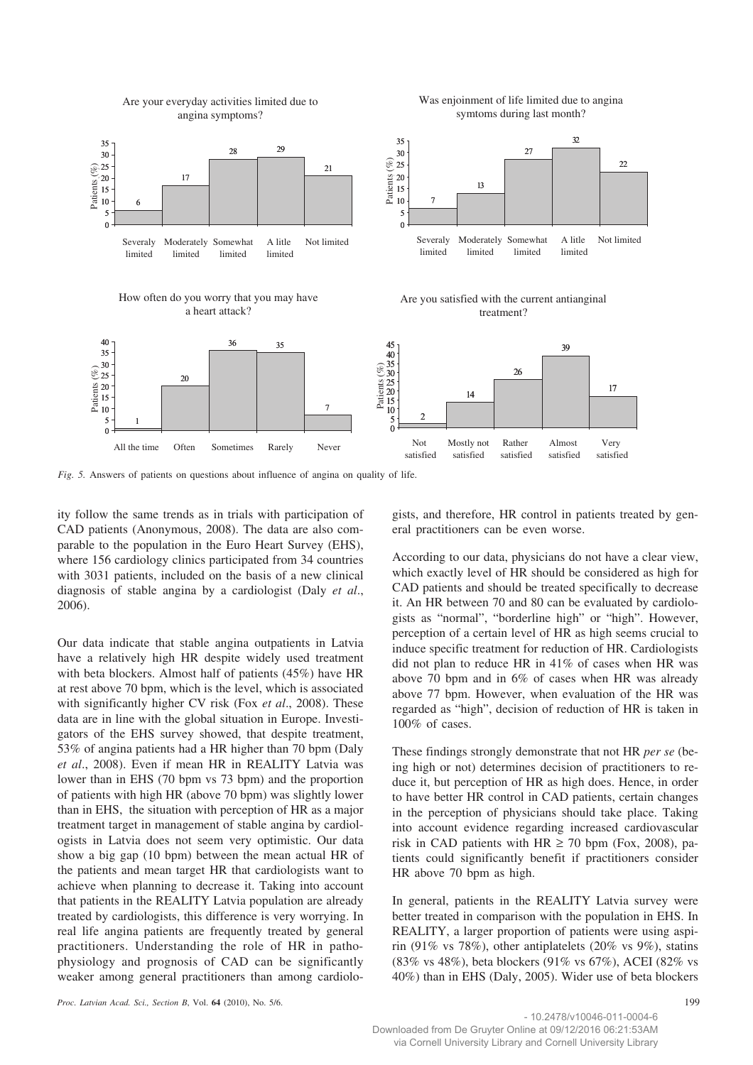

*Fig. 5.* Answers of patients on questions about influence of angina on quality of life.

ity follow the same trends as in trials with participation of CAD patients (Anonymous, 2008). The data are also comparable to the population in the Euro Heart Survey (EHS), where 156 cardiology clinics participated from 34 countries with 3031 patients, included on the basis of a new clinical diagnosis of stable angina by a cardiologist (Daly *et al*., 2006).

Our data indicate that stable angina outpatients in Latvia have a relatively high HR despite widely used treatment with beta blockers. Almost half of patients (45%) have HR at rest above 70 bpm, which is the level, which is associated with significantly higher CV risk (Fox *et al*., 2008). These data are in line with the global situation in Europe. Investigators of the EHS survey showed, that despite treatment, 53% of angina patients had a HR higher than 70 bpm (Daly *et al*., 2008). Even if mean HR in REALITY Latvia was lower than in EHS (70 bpm vs 73 bpm) and the proportion of patients with high HR (above 70 bpm) was slightly lower than in EHS, the situation with perception of HR as a major treatment target in management of stable angina by cardiologists in Latvia does not seem very optimistic. Our data show a big gap (10 bpm) between the mean actual HR of the patients and mean target HR that cardiologists want to achieve when planning to decrease it. Taking into account that patients in the REALITY Latvia population are already treated by cardiologists, this difference is very worrying. In real life angina patients are frequently treated by general practitioners. Understanding the role of HR in pathophysiology and prognosis of CAD can be significantly weaker among general practitioners than among cardiologists, and therefore, HR control in patients treated by general practitioners can be even worse.

According to our data, physicians do not have a clear view, which exactly level of HR should be considered as high for CAD patients and should be treated specifically to decrease it. An HR between 70 and 80 can be evaluated by cardiologists as "normal", "borderline high" or "high". However, perception of a certain level of HR as high seems crucial to induce specific treatment for reduction of HR. Cardiologists did not plan to reduce HR in 41% of cases when HR was above 70 bpm and in 6% of cases when HR was already above 77 bpm. However, when evaluation of the HR was regarded as "high", decision of reduction of HR is taken in 100% of cases.

These findings strongly demonstrate that not HR *per se* (being high or not) determines decision of practitioners to reduce it, but perception of HR as high does. Hence, in order to have better HR control in CAD patients, certain changes in the perception of physicians should take place. Taking into account evidence regarding increased cardiovascular risk in CAD patients with HR  $\geq$  70 bpm (Fox, 2008), patients could significantly benefit if practitioners consider HR above 70 bpm as high.

In general, patients in the REALITY Latvia survey were better treated in comparison with the population in EHS. In REALITY, a larger proportion of patients were using aspirin (91% vs 78%), other antiplatelets (20% vs 9%), statins (83% vs 48%), beta blockers (91% vs 67%), ACEI (82% vs 40%) than in EHS (Daly, 2005). Wider use of beta blockers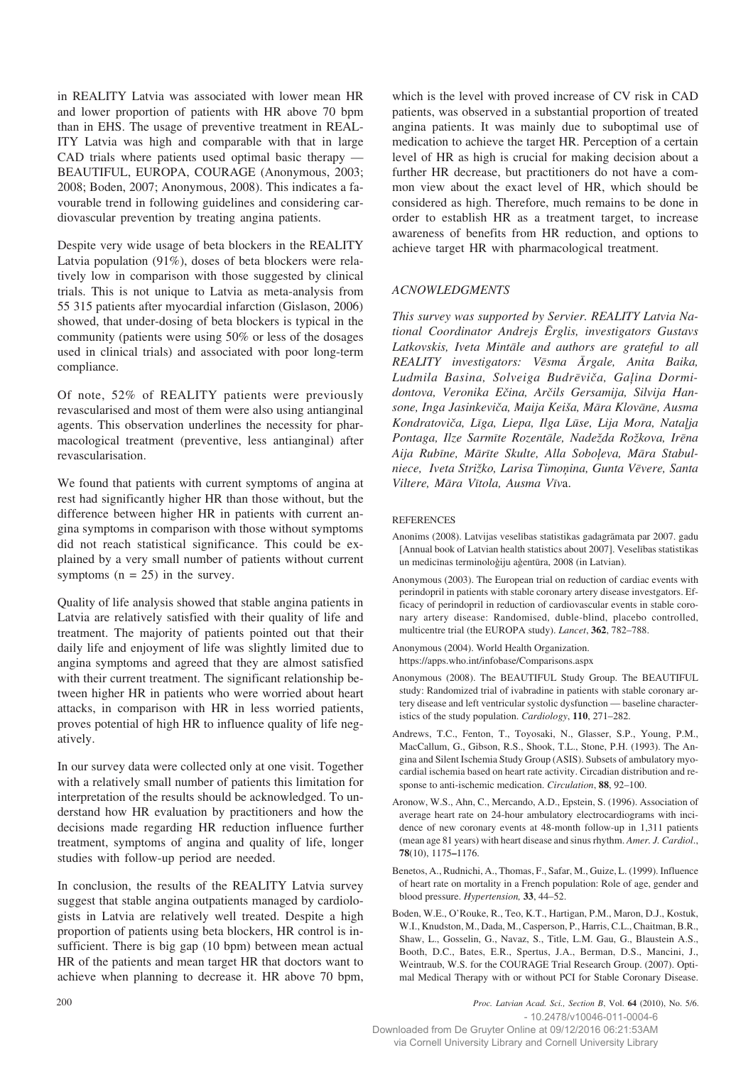in REALITY Latvia was associated with lower mean HR and lower proportion of patients with HR above 70 bpm than in EHS. The usage of preventive treatment in REAL-ITY Latvia was high and comparable with that in large CAD trials where patients used optimal basic therapy -BEAUTIFUL, EUROPA, COURAGE (Anonymous, 2003; 2008; Boden, 2007; Anonymous, 2008). This indicates a favourable trend in following guidelines and considering cardiovascular prevention by treating angina patients.

Despite very wide usage of beta blockers in the REALITY Latvia population (91%), doses of beta blockers were relatively low in comparison with those suggested by clinical trials. This is not unique to Latvia as meta-analysis from 55 315 patients after myocardial infarction (Gislason, 2006) showed, that under-dosing of beta blockers is typical in the community (patients were using 50% or less of the dosages used in clinical trials) and associated with poor long-term compliance.

Of note, 52% of REALITY patients were previously revascularised and most of them were also using antianginal agents. This observation underlines the necessity for pharmacological treatment (preventive, less antianginal) after revascularisation.

We found that patients with current symptoms of angina at rest had significantly higher HR than those without, but the difference between higher HR in patients with current angina symptoms in comparison with those without symptoms did not reach statistical significance. This could be explained by a very small number of patients without current symptoms  $(n = 25)$  in the survey.

Quality of life analysis showed that stable angina patients in Latvia are relatively satisfied with their quality of life and treatment. The majority of patients pointed out that their daily life and enjoyment of life was slightly limited due to angina symptoms and agreed that they are almost satisfied with their current treatment. The significant relationship between higher HR in patients who were worried about heart attacks, in comparison with HR in less worried patients, proves potential of high HR to influence quality of life negatively.

In our survey data were collected only at one visit. Together with a relatively small number of patients this limitation for interpretation of the results should be acknowledged. To understand how HR evaluation by practitioners and how the decisions made regarding HR reduction influence further treatment, symptoms of angina and quality of life, longer studies with follow-up period are needed.

In conclusion, the results of the REALITY Latvia survey suggest that stable angina outpatients managed by cardiologists in Latvia are relatively well treated. Despite a high proportion of patients using beta blockers, HR control is insufficient. There is big gap (10 bpm) between mean actual HR of the patients and mean target HR that doctors want to achieve when planning to decrease it. HR above 70 bpm,

which is the level with proved increase of CV risk in CAD patients, was observed in a substantial proportion of treated angina patients. It was mainly due to suboptimal use of medication to achieve the target HR. Perception of a certain level of HR as high is crucial for making decision about a further HR decrease, but practitioners do not have a common view about the exact level of HR, which should be considered as high. Therefore, much remains to be done in order to establish HR as a treatment target, to increase awareness of benefits from HR reduction, and options to achieve target HR with pharmacological treatment.

## *ACNOWLEDGMENTS*

*This survey was supported by Servier. REALITY Latvia National Coordinator Andrejs Çrglis, investigators Gustavs Latkovskis, Iveta Mintâle and authors are grateful to all REALITY investigators: Vçsma Ârgale, Anita Baika,* Ludmila Basina, Solveiga Budrēviča, Gaļina Dormi*dontova, Veronika Eèina, Arèils Gersamija, Silvija Hansone, Inga Jasinkevièa, Maija Keiða, Mâra Klovâne, Ausma* Kondratoviča, Līga, Liepa, Ilga Lūse, Lija Mora, Nataļja Pontaga, Ilze Sarmīte Rozentāle, Nadežda Rožkova, Irēna Aija Rubīne, Mārīte Skulte, Alla Soboļeva, Māra Stabul*niece, Iveta Striþko, Larisa Timoòina, Gunta Vçvere, Santa Viltere, Mâra Vîtola, Ausma Vîv*a.

#### **REFERENCES**

- Anonîms (2008). Latvijas veselîbas statistikas gadagrâmata par 2007. gadu [Annual book of Latvian health statistics about 2007]. Veselîbas statistikas un medicīnas terminoloģiju aģentūra, 2008 (in Latvian).
- Anonymous (2003). The European trial on reduction of cardiac events with perindopril in patients with stable coronary artery disease investgators. Efficacy of perindopril in reduction of cardiovascular events in stable coronary artery disease: Randomised, duble-blind, placebo controlled, multicentre trial (the EUROPA study). *Lancet*, **362**, 782–788.
- Anonymous (2004). World Health Organization. https://apps.who.int/infobase/Comparisons.aspx
- Anonymous (2008). The BEAUTIFUL Study Group. The BEAUTIFUL study: Randomized trial of ivabradine in patients with stable coronary artery disease and left ventricular systolic dysfunction — baseline characteristics of the study population. *Cardiology*, **110**, 271–282.
- Andrews, T.C., Fenton, T., Toyosaki, N., Glasser, S.P., Young, P.M., MacCallum, G., Gibson, R.S., Shook, T.L., Stone, P.H. (1993). The Angina and Silent Ischemia Study Group (ASIS). Subsets of ambulatory myocardial ischemia based on heart rate activity. Circadian distribution and response to anti-ischemic medication. *Circulation*, **88**, 92–100.
- Aronow, W.S., Ahn, C., Mercando, A.D., Epstein, S. (1996). Association of average heart rate on 24-hour ambulatory electrocardiograms with incidence of new coronary events at 48-month follow-up in 1,311 patients (mean age 81 years) with heart disease and sinus rhythm. *Amer. J. Cardiol*., **78**(10), 1175**–**1176.
- Benetos, A., Rudnichi, A., Thomas, F., Safar, M., Guize, L. (1999). Influence of heart rate on mortality in a French population: Role of age, gender and blood pressure. *Hypertension,* **33**, 44–52.
- Boden, W.E., O'Rouke, R., Teo, K.T., Hartigan, P.M., Maron, D.J., Kostuk, W.I., Knudston, M., Dada, M., Casperson, P., Harris, C.L., Chaitman, B.R., Shaw, L., Gosselin, G., Navaz, S., Title, L.M. Gau, G., Blaustein A.S., Booth, D.C., Bates, E.R., Spertus, J.A., Berman, D.S., Mancini, J., Weintraub, W.S. for the COURAGE Trial Research Group. (2007). Optimal Medical Therapy with or without PCI for Stable Coronary Disease.